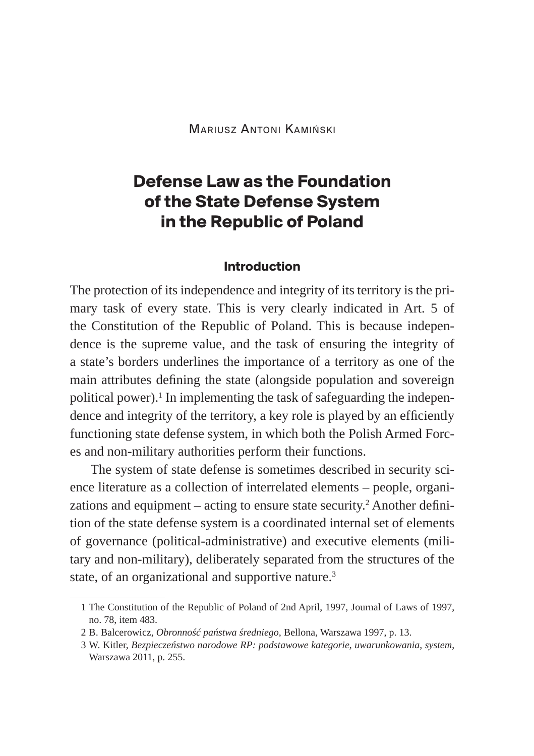# **Defense Law as the Foundation of the State Defense System in the Republic of Poland**

#### **Introduction**

The protection of its independence and integrity of its territory is the primary task of every state. This is very clearly indicated in Art. 5 of the Constitution of the Republic of Poland. This is because independence is the supreme value, and the task of ensuring the integrity of a state's borders underlines the importance of a territory as one of the main attributes defining the state (alongside population and sovereign political power).<sup>1</sup> In implementing the task of safeguarding the independence and integrity of the territory, a key role is played by an efficiently functioning state defense system, in which both the Polish Armed Forces and non-military authorities perform their functions.

The system of state defense is sometimes described in security science literature as a collection of interrelated elements – people, organizations and equipment – acting to ensure state security.<sup>2</sup> Another definition of the state defense system is a coordinated internal set of elements of governance (political-administrative) and executive elements (military and non-military), deliberately separated from the structures of the state, of an organizational and supportive nature.<sup>3</sup>

<sup>1</sup> The Constitution of the Republic of Poland of 2nd April, 1997, Journal of Laws of 1997, no. 78, item 483.

<sup>2</sup> B. Balcerowicz, *Obronność państwa średniego*, Bellona, Warszawa 1997, p. 13.

<sup>3</sup> W. Kitler, *Bezpieczeństwo narodowe RP: podstawowe kategorie, uwarunkowania, system*, Warszawa 2011, p. 255.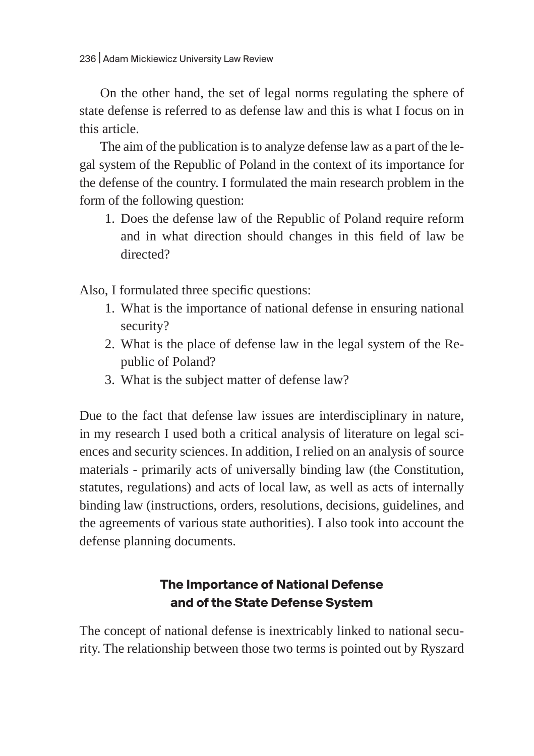On the other hand, the set of legal norms regulating the sphere of state defense is referred to as defense law and this is what I focus on in this article.

The aim of the publication is to analyze defense law as a part of the legal system of the Republic of Poland in the context of its importance for the defense of the country. I formulated the main research problem in the form of the following question:

1. Does the defense law of the Republic of Poland require reform and in what direction should changes in this field of law be directed?

Also, I formulated three specific questions:

- 1. What is the importance of national defense in ensuring national security?
- 2. What is the place of defense law in the legal system of the Republic of Poland?
- 3. What is the subject matter of defense law?

Due to the fact that defense law issues are interdisciplinary in nature, in my research I used both a critical analysis of literature on legal sciences and security sciences. In addition, I relied on an analysis of source materials - primarily acts of universally binding law (the Constitution, statutes, regulations) and acts of local law, as well as acts of internally binding law (instructions, orders, resolutions, decisions, guidelines, and the agreements of various state authorities). I also took into account the defense planning documents.

# **The Importance of National Defense and of the State Defense System**

The concept of national defense is inextricably linked to national security. The relationship between those two terms is pointed out by Ryszard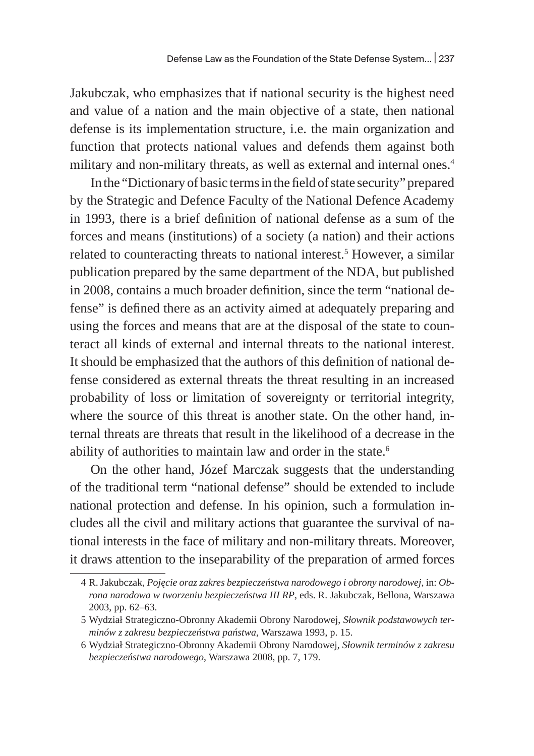Jakubczak, who emphasizes that if national security is the highest need and value of a nation and the main objective of a state, then national defense is its implementation structure, i.e. the main organization and function that protects national values and defends them against both military and non-military threats, as well as external and internal ones.<sup>4</sup>

In the "Dictionary of basic terms in the field of state security" prepared by the Strategic and Defence Faculty of the National Defence Academy in 1993, there is a brief definition of national defense as a sum of the forces and means (institutions) of a society (a nation) and their actions related to counteracting threats to national interest.5 However, a similar publication prepared by the same department of the NDA, but published in 2008, contains a much broader definition, since the term "national defense" is defined there as an activity aimed at adequately preparing and using the forces and means that are at the disposal of the state to counteract all kinds of external and internal threats to the national interest. It should be emphasized that the authors of this definition of national defense considered as external threats the threat resulting in an increased probability of loss or limitation of sovereignty or territorial integrity, where the source of this threat is another state. On the other hand, internal threats are threats that result in the likelihood of a decrease in the ability of authorities to maintain law and order in the state.<sup>6</sup>

On the other hand, Józef Marczak suggests that the understanding of the traditional term "national defense" should be extended to include national protection and defense. In his opinion, such a formulation includes all the civil and military actions that guarantee the survival of national interests in the face of military and non-military threats. Moreover, it draws attention to the inseparability of the preparation of armed forces

<sup>4</sup> R. Jakubczak, *Pojęcie oraz zakres bezpieczeństwa narodowego i obrony narodowej*, in: *Obrona narodowa w tworzeniu bezpieczeństwa III RP*, eds. R. Jakubczak, Bellona, Warszawa 2003, pp. 62–63.

<sup>5</sup> Wydział Strategiczno-Obronny Akademii Obrony Narodowej, *Słownik podstawowych terminów z zakresu bezpieczeństwa państwa*, Warszawa 1993, p. 15.

<sup>6</sup> Wydział Strategiczno-Obronny Akademii Obrony Narodowej, *Słownik terminów z zakresu bezpieczeństwa narodowego*, Warszawa 2008, pp. 7, 179.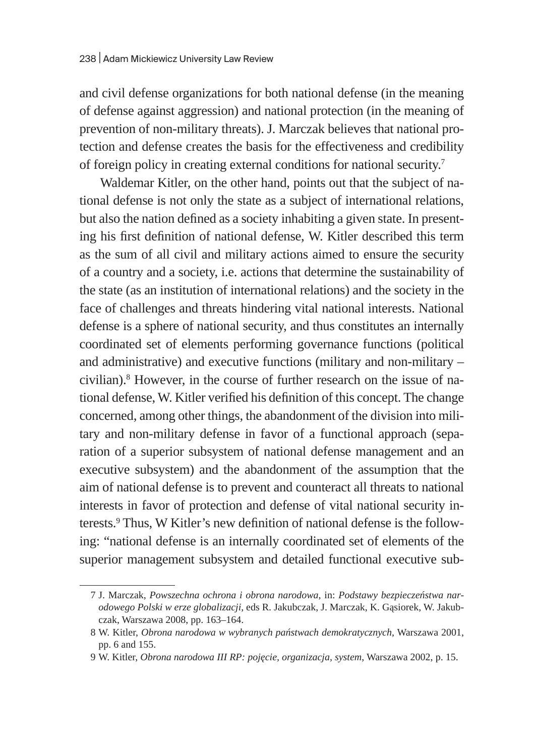and civil defense organizations for both national defense (in the meaning of defense against aggression) and national protection (in the meaning of prevention of non-military threats). J. Marczak believes that national protection and defense creates the basis for the effectiveness and credibility of foreign policy in creating external conditions for national security.<sup>7</sup>

Waldemar Kitler, on the other hand, points out that the subject of national defense is not only the state as a subject of international relations, but also the nation defined as a society inhabiting a given state. In presenting his first definition of national defense, W. Kitler described this term as the sum of all civil and military actions aimed to ensure the security of a country and a society, i.e. actions that determine the sustainability of the state (as an institution of international relations) and the society in the face of challenges and threats hindering vital national interests. National defense is a sphere of national security, and thus constitutes an internally coordinated set of elements performing governance functions (political and administrative) and executive functions (military and non-military – civilian).<sup>8</sup> However, in the course of further research on the issue of national defense, W. Kitler verified his definition of this concept. The change concerned, among other things, the abandonment of the division into military and non-military defense in favor of a functional approach (separation of a superior subsystem of national defense management and an executive subsystem) and the abandonment of the assumption that the aim of national defense is to prevent and counteract all threats to national interests in favor of protection and defense of vital national security interests.9 Thus, W Kitler's new definition of national defense is the following: "national defense is an internally coordinated set of elements of the superior management subsystem and detailed functional executive sub-

<sup>7</sup> J. Marczak, *Powszechna ochrona i obrona narodowa*, in: *Podstawy bezpieczeństwa narodowego Polski w erze globalizacji*, eds R. Jakubczak, J. Marczak, K. Gąsiorek, W. Jakubczak, Warszawa 2008, pp. 163–164.

<sup>8</sup> W. Kitler, *Obrona narodowa w wybranych państwach demokratycznych*, Warszawa 2001, pp. 6 and 155.

<sup>9</sup> W. Kitler, *Obrona narodowa III RP: pojęcie, organizacja, system*, Warszawa 2002, p. 15.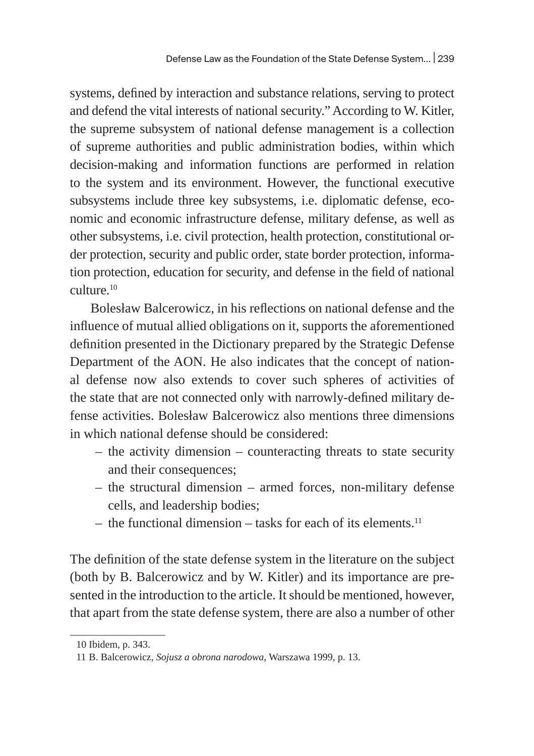systems, defined by interaction and substance relations, serving to protect and defend the vital interests of national security." According to W. Kitler, the supreme subsystem of national defense management is a collection of supreme authorities and public administration bodies, within which decision-making and information functions are performed in relation to the system and its environment. However, the functional executive subsystems include three key subsystems, i.e. diplomatic defense, economic and economic infrastructure defense, military defense, as well as other subsystems, i.e. civil protection, health protection, constitutional order protection, security and public order, state border protection, information protection, education for security, and defense in the field of national culture.10

Bolesław Balcerowicz, in his reflections on national defense and the influence of mutual allied obligations on it, supports the aforementioned definition presented in the Dictionary prepared by the Strategic Defense Department of the AON. He also indicates that the concept of national defense now also extends to cover such spheres of activities of the state that are not connected only with narrowly-defined military defense activities. Bolesław Balcerowicz also mentions three dimensions in which national defense should be considered:

- the activity dimension counteracting threats to state security and their consequences;
- the structural dimension armed forces, non-military defense cells, and leadership bodies;
- $-$  the functional dimension tasks for each of its elements.<sup>11</sup>

The definition of the state defense system in the literature on the subject (both by B. Balcerowicz and by W. Kitler) and its importance are presented in the introduction to the article. It should be mentioned, however, that apart from the state defense system, there are also a number of other

<sup>10</sup> Ibidem, p. 343.

<sup>11</sup> B. Balcerowicz, *Sojusz a obrona narodowa*, Warszawa 1999, p. 13.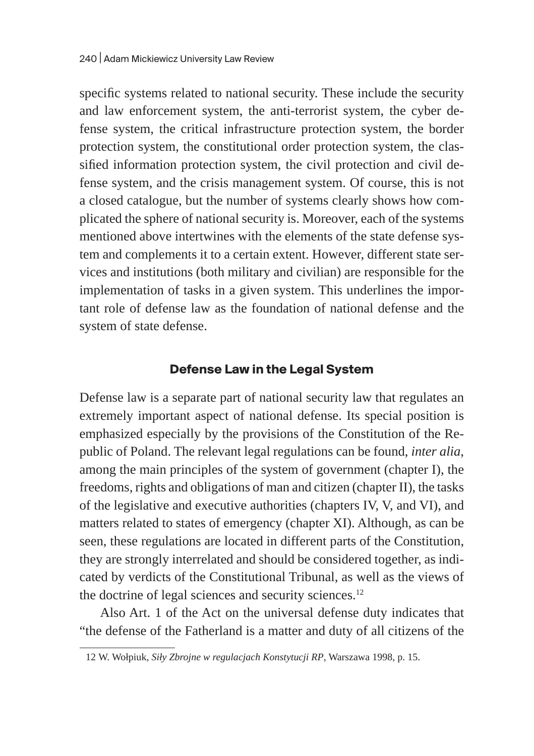specific systems related to national security. These include the security and law enforcement system, the anti-terrorist system, the cyber defense system, the critical infrastructure protection system, the border protection system, the constitutional order protection system, the classified information protection system, the civil protection and civil defense system, and the crisis management system. Of course, this is not a closed catalogue, but the number of systems clearly shows how complicated the sphere of national security is. Moreover, each of the systems mentioned above intertwines with the elements of the state defense system and complements it to a certain extent. However, different state services and institutions (both military and civilian) are responsible for the implementation of tasks in a given system. This underlines the important role of defense law as the foundation of national defense and the system of state defense.

## **Defense Law in the Legal System**

Defense law is a separate part of national security law that regulates an extremely important aspect of national defense. Its special position is emphasized especially by the provisions of the Constitution of the Republic of Poland. The relevant legal regulations can be found, *inter alia*, among the main principles of the system of government (chapter I), the freedoms, rights and obligations of man and citizen (chapter II), the tasks of the legislative and executive authorities (chapters IV, V, and VI), and matters related to states of emergency (chapter XI). Although, as can be seen, these regulations are located in different parts of the Constitution, they are strongly interrelated and should be considered together, as indicated by verdicts of the Constitutional Tribunal, as well as the views of the doctrine of legal sciences and security sciences. $12$ 

Also Art. 1 of the Act on the universal defense duty indicates that "the defense of the Fatherland is a matter and duty of all citizens of the

<sup>12</sup> W. Wołpiuk, *Siły Zbrojne w regulacjach Konstytucji RP*, Warszawa 1998, p. 15.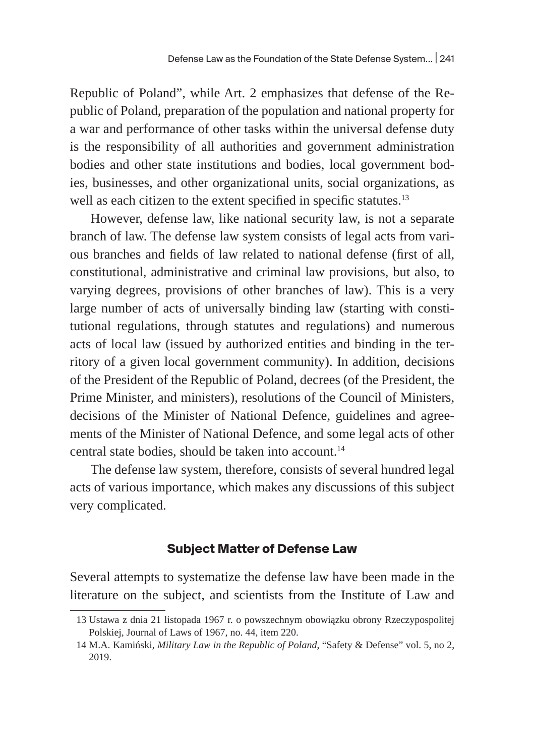Republic of Poland", while Art. 2 emphasizes that defense of the Republic of Poland, preparation of the population and national property for a war and performance of other tasks within the universal defense duty is the responsibility of all authorities and government administration bodies and other state institutions and bodies, local government bodies, businesses, and other organizational units, social organizations, as well as each citizen to the extent specified in specific statutes.<sup>13</sup>

However, defense law, like national security law, is not a separate branch of law. The defense law system consists of legal acts from various branches and fields of law related to national defense (first of all, constitutional, administrative and criminal law provisions, but also, to varying degrees, provisions of other branches of law). This is a very large number of acts of universally binding law (starting with constitutional regulations, through statutes and regulations) and numerous acts of local law (issued by authorized entities and binding in the territory of a given local government community). In addition, decisions of the President of the Republic of Poland, decrees (of the President, the Prime Minister, and ministers), resolutions of the Council of Ministers, decisions of the Minister of National Defence, guidelines and agreements of the Minister of National Defence, and some legal acts of other central state bodies, should be taken into account.<sup>14</sup>

The defense law system, therefore, consists of several hundred legal acts of various importance, which makes any discussions of this subject very complicated.

#### **Subject Matter of Defense Law**

Several attempts to systematize the defense law have been made in the literature on the subject, and scientists from the Institute of Law and

<sup>13</sup> Ustawa z dnia 21 listopada 1967 r. o powszechnym obowiązku obrony Rzeczypospolitej Polskiej, Journal of Laws of 1967, no. 44, item 220.

<sup>14</sup> M.A. Kamiński, *Military Law in the Republic of Poland*, "Safety & Defense" vol. 5, no 2, 2019.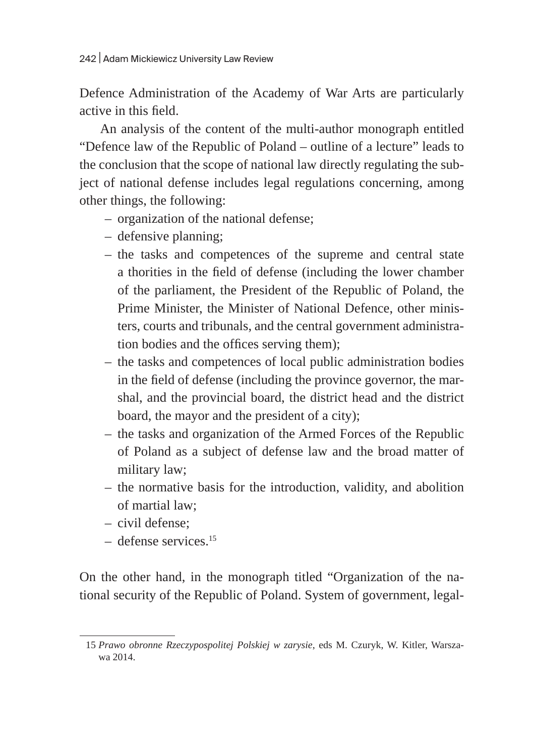Defence Administration of the Academy of War Arts are particularly active in this field.

An analysis of the content of the multi-author monograph entitled "Defence law of the Republic of Poland – outline of a lecture" leads to the conclusion that the scope of national law directly regulating the subject of national defense includes legal regulations concerning, among other things, the following:

- organization of the national defense;
- defensive planning;
- the tasks and competences of the supreme and central state a thorities in the field of defense (including the lower chamber of the parliament, the President of the Republic of Poland, the Prime Minister, the Minister of National Defence, other ministers, courts and tribunals, and the central government administration bodies and the offices serving them);
- the tasks and competences of local public administration bodies in the field of defense (including the province governor, the marshal, and the provincial board, the district head and the district board, the mayor and the president of a city);
- the tasks and organization of the Armed Forces of the Republic of Poland as a subject of defense law and the broad matter of military law;
- the normative basis for the introduction, validity, and abolition of martial law;
- civil defense;
- defense services.15

On the other hand, in the monograph titled "Organization of the national security of the Republic of Poland. System of government, legal-

<sup>15</sup> *Prawo obronne Rzeczypospolitej Polskiej w zarysie*, eds M. Czuryk, W. Kitler, Warszawa 2014.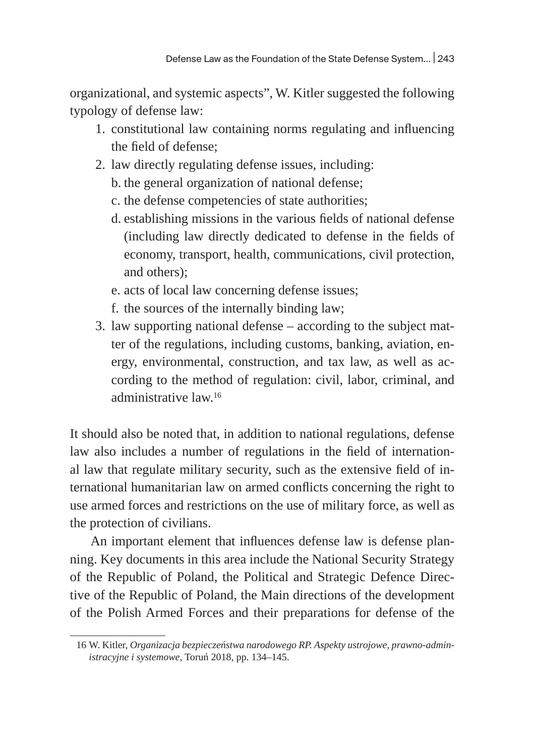organizational, and systemic aspects", W. Kitler suggested the following typology of defense law:

- 1. constitutional law containing norms regulating and influencing the field of defense;
- 2. law directly regulating defense issues, including:
	- b. the general organization of national defense;
	- c. the defense competencies of state authorities;
	- d. establishing missions in the various fields of national defense (including law directly dedicated to defense in the fields of economy, transport, health, communications, civil protection, and others);
	- e. acts of local law concerning defense issues;
	- f. the sources of the internally binding law;
- 3. law supporting national defense according to the subject matter of the regulations, including customs, banking, aviation, energy, environmental, construction, and tax law, as well as according to the method of regulation: civil, labor, criminal, and administrative law.16

It should also be noted that, in addition to national regulations, defense law also includes a number of regulations in the field of international law that regulate military security, such as the extensive field of international humanitarian law on armed conflicts concerning the right to use armed forces and restrictions on the use of military force, as well as the protection of civilians.

An important element that influences defense law is defense planning. Key documents in this area include the National Security Strategy of the Republic of Poland, the Political and Strategic Defence Directive of the Republic of Poland, the Main directions of the development of the Polish Armed Forces and their preparations for defense of the

<sup>16</sup> W. Kitler, *Organizacja bezpieczeństwa narodowego RP. Aspekty ustrojowe, prawno-administracyjne i systemowe*, Toruń 2018, pp. 134–145.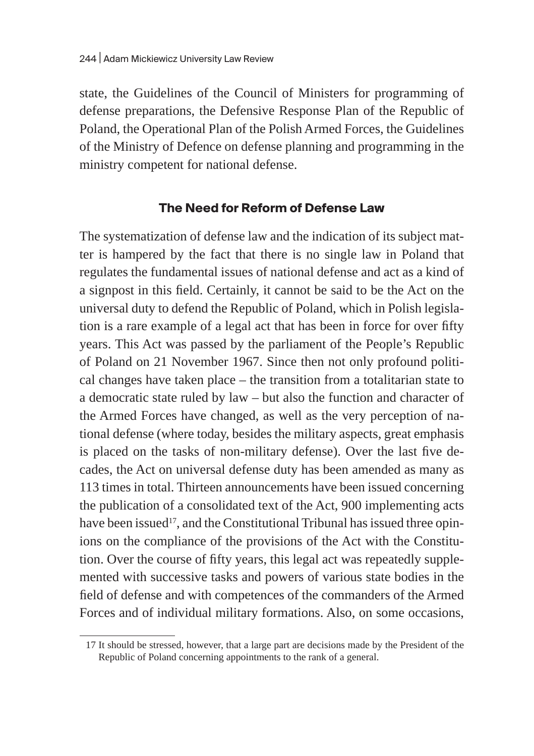state, the Guidelines of the Council of Ministers for programming of defense preparations, the Defensive Response Plan of the Republic of Poland, the Operational Plan of the Polish Armed Forces, the Guidelines of the Ministry of Defence on defense planning and programming in the ministry competent for national defense.

## **The Need for Reform of Defense Law**

The systematization of defense law and the indication of its subject matter is hampered by the fact that there is no single law in Poland that regulates the fundamental issues of national defense and act as a kind of a signpost in this field. Certainly, it cannot be said to be the Act on the universal duty to defend the Republic of Poland, which in Polish legislation is a rare example of a legal act that has been in force for over fifty years. This Act was passed by the parliament of the People's Republic of Poland on 21 November 1967. Since then not only profound political changes have taken place – the transition from a totalitarian state to a democratic state ruled by law – but also the function and character of the Armed Forces have changed, as well as the very perception of national defense (where today, besides the military aspects, great emphasis is placed on the tasks of non-military defense). Over the last five decades, the Act on universal defense duty has been amended as many as 113 times in total. Thirteen announcements have been issued concerning the publication of a consolidated text of the Act, 900 implementing acts have been issued<sup>17</sup>, and the Constitutional Tribunal has issued three opinions on the compliance of the provisions of the Act with the Constitution. Over the course of fifty years, this legal act was repeatedly supplemented with successive tasks and powers of various state bodies in the field of defense and with competences of the commanders of the Armed Forces and of individual military formations. Also, on some occasions,

<sup>17</sup> It should be stressed, however, that a large part are decisions made by the President of the Republic of Poland concerning appointments to the rank of a general.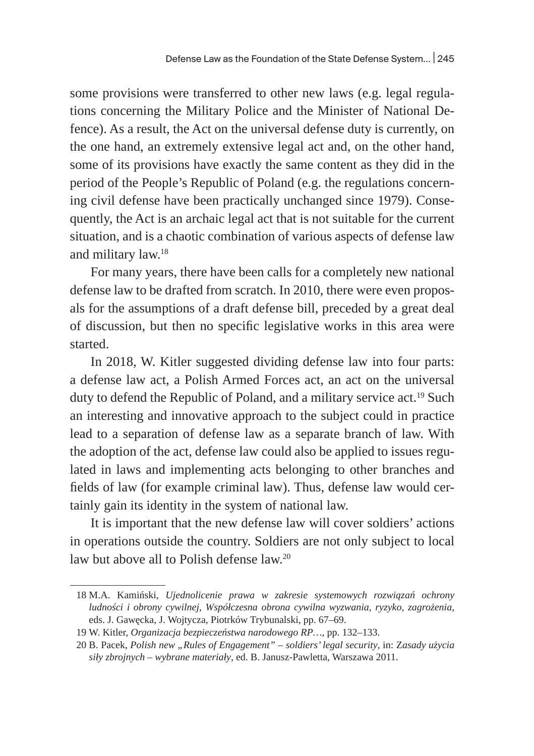some provisions were transferred to other new laws (e.g. legal regulations concerning the Military Police and the Minister of National Defence). As a result, the Act on the universal defense duty is currently, on the one hand, an extremely extensive legal act and, on the other hand, some of its provisions have exactly the same content as they did in the period of the People's Republic of Poland (e.g. the regulations concerning civil defense have been practically unchanged since 1979). Consequently, the Act is an archaic legal act that is not suitable for the current situation, and is a chaotic combination of various aspects of defense law and military law.18

For many years, there have been calls for a completely new national defense law to be drafted from scratch. In 2010, there were even proposals for the assumptions of a draft defense bill, preceded by a great deal of discussion, but then no specific legislative works in this area were started.

In 2018, W. Kitler suggested dividing defense law into four parts: a defense law act, a Polish Armed Forces act, an act on the universal duty to defend the Republic of Poland, and a military service act.<sup>19</sup> Such an interesting and innovative approach to the subject could in practice lead to a separation of defense law as a separate branch of law. With the adoption of the act, defense law could also be applied to issues regulated in laws and implementing acts belonging to other branches and fields of law (for example criminal law). Thus, defense law would certainly gain its identity in the system of national law.

It is important that the new defense law will cover soldiers' actions in operations outside the country. Soldiers are not only subject to local law but above all to Polish defense law.<sup>20</sup>

<sup>18</sup> M.A. Kamiński, *Ujednolicenie prawa w zakresie systemowych rozwiązań ochrony ludności i obrony cywilnej*, *Współczesna obrona cywilna wyzwania, ryzyko, zagrożenia*, eds. J. Gawęcka, J. Wojtycza, Piotrków Trybunalski, pp. 67–69.

<sup>19</sup> W. Kitler, *Organizacja bezpieczeństwa narodowego RP…*, pp. 132–133.

<sup>20</sup> B. Pacek, *Polish new "Rules of Engagement" – soldiers' legal security*, in: Z*asady użycia siły zbrojnych – wybrane materiały*, ed. B. Janusz-Pawletta, Warszawa 2011.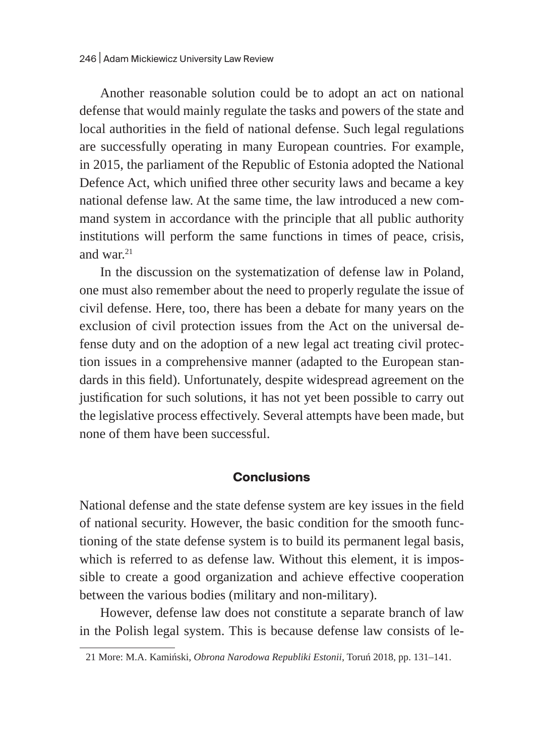Another reasonable solution could be to adopt an act on national defense that would mainly regulate the tasks and powers of the state and local authorities in the field of national defense. Such legal regulations are successfully operating in many European countries. For example, in 2015, the parliament of the Republic of Estonia adopted the National Defence Act, which unified three other security laws and became a key national defense law. At the same time, the law introduced a new command system in accordance with the principle that all public authority institutions will perform the same functions in times of peace, crisis, and war. $21$ 

In the discussion on the systematization of defense law in Poland, one must also remember about the need to properly regulate the issue of civil defense. Here, too, there has been a debate for many years on the exclusion of civil protection issues from the Act on the universal defense duty and on the adoption of a new legal act treating civil protection issues in a comprehensive manner (adapted to the European standards in this field). Unfortunately, despite widespread agreement on the justification for such solutions, it has not yet been possible to carry out the legislative process effectively. Several attempts have been made, but none of them have been successful.

#### **Conclusions**

National defense and the state defense system are key issues in the field of national security. However, the basic condition for the smooth functioning of the state defense system is to build its permanent legal basis, which is referred to as defense law. Without this element, it is impossible to create a good organization and achieve effective cooperation between the various bodies (military and non-military).

However, defense law does not constitute a separate branch of law in the Polish legal system. This is because defense law consists of le-

<sup>21</sup> More: M.A. Kamiński, *Obrona Narodowa Republiki Estonii*, Toruń 2018, pp. 131–141.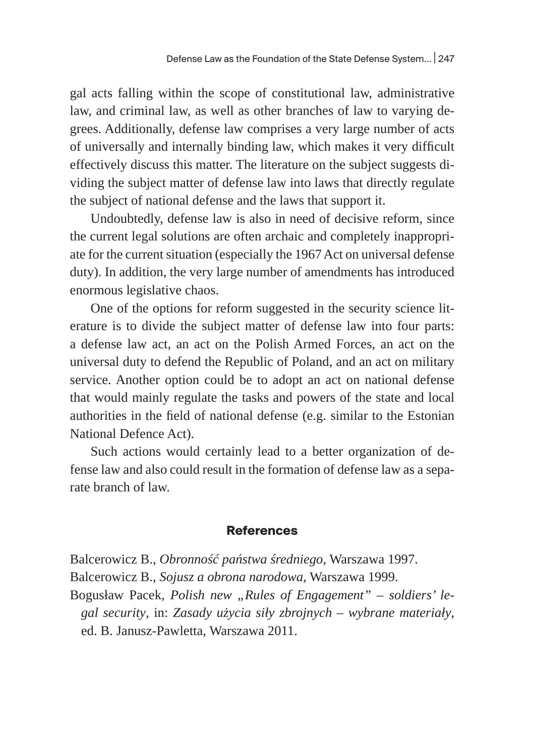gal acts falling within the scope of constitutional law, administrative law, and criminal law, as well as other branches of law to varying degrees. Additionally, defense law comprises a very large number of acts of universally and internally binding law, which makes it very difficult effectively discuss this matter. The literature on the subject suggests dividing the subject matter of defense law into laws that directly regulate the subject of national defense and the laws that support it.

Undoubtedly, defense law is also in need of decisive reform, since the current legal solutions are often archaic and completely inappropriate for the current situation (especially the 1967 Act on universal defense duty). In addition, the very large number of amendments has introduced enormous legislative chaos.

One of the options for reform suggested in the security science literature is to divide the subject matter of defense law into four parts: a defense law act, an act on the Polish Armed Forces, an act on the universal duty to defend the Republic of Poland, and an act on military service. Another option could be to adopt an act on national defense that would mainly regulate the tasks and powers of the state and local authorities in the field of national defense (e.g. similar to the Estonian National Defence Act).

Such actions would certainly lead to a better organization of defense law and also could result in the formation of defense law as a separate branch of law.

#### **References**

Balcerowicz B., *Obronność państwa średniego*, Warszawa 1997. Balcerowicz B., *Sojusz a obrona narodowa*, Warszawa 1999.

Bogusław Pacek, Polish new "Rules of Engagement" – soldiers' le*gal security*, in: *Zasady użycia siły zbrojnych – wybrane materiały*, ed. B. Janusz-Pawletta, Warszawa 2011.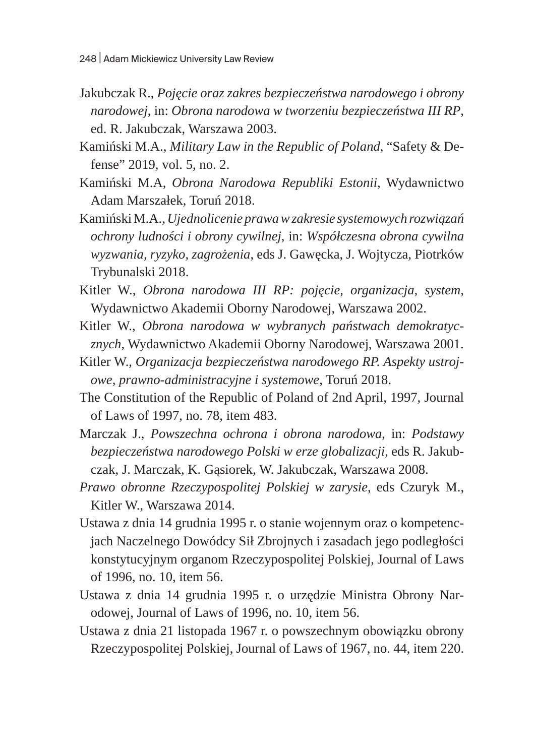- Jakubczak R., *Pojęcie oraz zakres bezpieczeństwa narodowego i obrony narodowej*, in: *Obrona narodowa w tworzeniu bezpieczeństwa III RP*, ed. R. Jakubczak, Warszawa 2003.
- Kamiński M.A., *Military Law in the Republic of Poland*, "Safety & Defense" 2019, vol. 5, no. 2.
- Kamiński M.A, *Obrona Narodowa Republiki Estonii*, Wydawnictwo Adam Marszałek, Toruń 2018.
- Kamiński M.A., *Ujednolicenie prawa w zakresie systemowych rozwiązań ochrony ludności i obrony cywilnej*, in: *Współczesna obrona cywilna wyzwania, ryzyko, zagrożenia*, eds J. Gawęcka, J. Wojtycza, Piotrków Trybunalski 2018.
- Kitler W., *Obrona narodowa III RP: pojęcie, organizacja, system*, Wydawnictwo Akademii Oborny Narodowej, Warszawa 2002.
- Kitler W., *Obrona narodowa w wybranych państwach demokratycznych*, Wydawnictwo Akademii Oborny Narodowej, Warszawa 2001.
- Kitler W., *Organizacja bezpieczeństwa narodowego RP. Aspekty ustrojowe, prawno-administracyjne i systemowe*, Toruń 2018.
- The Constitution of the Republic of Poland of 2nd April, 1997, Journal of Laws of 1997, no. 78, item 483.
- Marczak J., *Powszechna ochrona i obrona narodowa*, in: *Podstawy bezpieczeństwa narodowego Polski w erze globalizacji*, eds R. Jakubczak, J. Marczak, K. Gąsiorek, W. Jakubczak, Warszawa 2008.
- *Prawo obronne Rzeczypospolitej Polskiej w zarysie*, eds Czuryk M., Kitler W., Warszawa 2014.
- Ustawa z dnia 14 grudnia 1995 r. o stanie wojennym oraz o kompetencjach Naczelnego Dowódcy Sił Zbrojnych i zasadach jego podległości konstytucyjnym organom Rzeczypospolitej Polskiej, Journal of Laws of 1996, no. 10, item 56.
- Ustawa z dnia 14 grudnia 1995 r. o urzędzie Ministra Obrony Narodowej, Journal of Laws of 1996, no. 10, item 56.
- Ustawa z dnia 21 listopada 1967 r. o powszechnym obowiązku obrony Rzeczypospolitej Polskiej, Journal of Laws of 1967, no. 44, item 220.